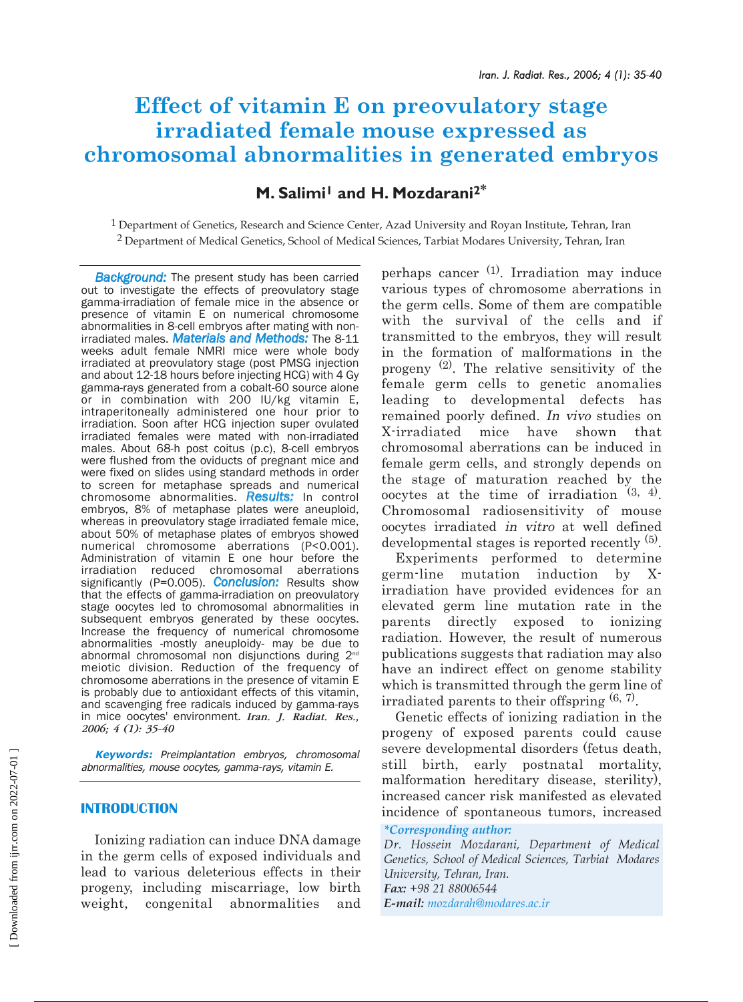# **Effect of vitamin E on preovulatory stage irradiated female mouse expressed as chromosomal abnormalities in generated embryos**

## **M. Salimi1 and H. Mozdarani2\***

 $1$  Department of Genetics, Research and Science Center, Azad University and Royan Institute, Tehran, Iran 2 Department of Medical Genetics, School of Medical Sciences, Tarbiat Modares University, Tehran, Iran

*Background:* The present study has been carried out to investigate the effects of preovulatory stage gamma-irradiation of female mice in the absence or presence of vitamin E on numerical chromosome abnormalities in 8-cell embryos after mating with nonirradiated males. *Materials and Methods:* The 8-11 weeks adult female NMRI mice were whole body irradiated at preovulatory stage (post PMSG injection and about 12-18 hours before injecting HCG) with 4 Gy gamma-rays generated from a cobalt-60 source alone or in combination with 200 IU/kg vitamin E, intraperitoneally administered one hour prior to irradiation. Soon after HCG injection super ovulated irradiated females were mated with non-irradiated males. About 68-h post coitus (p.c), 8-cell embryos were flushed from the oviducts of pregnant mice and were fixed on slides using standard methods in order to screen for metaphase spreads and numerical chromosome abnormalities. *Results:* In control embryos, 8% of metaphase plates were aneuploid, whereas in preovulatory stage irradiated female mice, about 50% of metaphase plates of embryos showed numerical chromosome aberrations (P<0.001). Administration of vitamin E one hour before the irradiation reduced chromosomal aberrations significantly (P=0.005). *Conclusion:* Results show that the effects of gamma-irradiation on preovulatory stage oocytes led to chromosomal abnormalities in subsequent embryos generated by these oocytes. Increase the frequency of numerical chromosome abnormalities -mostly aneuploidy- may be due to abnormal chromosomal non disjunctions during 2<sup>nd</sup> meiotic division. Reduction of the frequency of chromosome aberrations in the presence of vitamin E is probably due to antioxidant effects of this vitamin, and scavenging free radicals induced by gamma-rays in mice oocytes' environment. *Iran. J. Radiat. Res., 2006; 4 (1): 35-40*

**Keywords:** Preimplantation embryos, chromosomal abnormalities, mouse oocytes, gamma-rays, vitamin E.

#### **INTRODUCTION**

Ionizing radiation can induce DNA damage in the germ cells of exposed individuals and lead to various deleterious effects in their progeny, including miscarriage, low birth weight, congenital abnormalities and perhaps cancer  $(1)$ . Irradiation may induce various types of chromosome aberrations in the germ cells. Some of them are compatible with the survival of the cells and if transmitted to the embryos, they will result in the formation of malformations in the progeny  $(2)$ . The relative sensitivity of the female germ cells to genetic anomalies leading to developmental defects has remained poorly defined. In vivo studies on X-irradiated mice have shown that chromosomal aberrations can be induced in female germ cells, and strongly depends on the stage of maturation reached by the oocytes at the time of irradiation  $(3, 4)$ . Chromosomal radiosensitivity of mouse oocytes irradiated in vitro at well defined developmental stages is reported recently (5).

Experiments performed to determine germ-line mutation induction by Xirradiation have provided evidences for an elevated germ line mutation rate in the parents directly exposed to ionizing radiation. However, the result of numerous publications suggests that radiation may also have an indirect effect on genome stability which is transmitted through the germ line of irradiated parents to their offspring  $(6, 7)$ .

Genetic effects of ionizing radiation in the progeny of exposed parents could cause severe developmental disorders (fetus death, still birth, early postnatal mortality, malformation hereditary disease, sterility), increased cancer risk manifested as elevated incidence of spontaneous tumors, increased

#### *\*Corresponding author:*

*Dr. Hossein Mozdarani, Department of Medical Genetics, School of Medical Sciences, Tarbiat Modares University, Tehran, Iran. Fax: +98 21 88006544*

*E-mail: mozdarah@modares.ac.ir*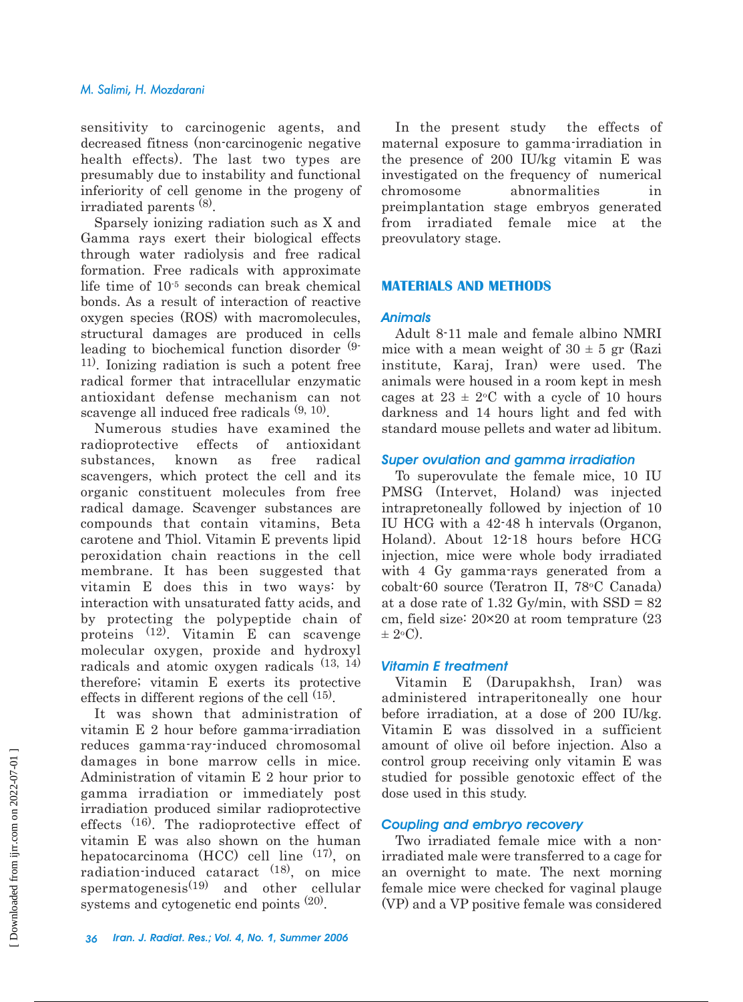sensitivity to carcinogenic agents, and decreased fitness (non-carcinogenic negative health effects). The last two types are presumably due to instability and functional inferiority of cell genome in the progeny of irradiated parents (8).

Sparsely ionizing radiation such as X and Gamma rays exert their biological effects through water radiolysis and free radical formation. Free radicals with approximate life time of 10-5 seconds can break chemical bonds. As a result of interaction of reactive oxygen species (ROS) with macromolecules, structural damages are produced in cells leading to biochemical function disorder (9- 11). Ionizing radiation is such a potent free radical former that intracellular enzymatic antioxidant defense mechanism can not scavenge all induced free radicals  $(9, 10)$ .

Numerous studies have examined the radioprotective effects of antioxidant substances, known as free radical scavengers, which protect the cell and its organic constituent molecules from free radical damage. Scavenger substances are compounds that contain vitamins, Beta carotene and Thiol. Vitamin E prevents lipid peroxidation chain reactions in the cell membrane. It has been suggested that vitamin E does this in two ways: by interaction with unsaturated fatty acids, and by protecting the polypeptide chain of proteins (12). Vitamin E can scavenge molecular oxygen, proxide and hydroxyl radicals and atomic oxygen radicals (13, 14) therefore; vitamin E exerts its protective effects in different regions of the cell (15).

It was shown that administration of vitamin E 2 hour before gamma-irradiation reduces gamma-ray-induced chromosomal damages in bone marrow cells in mice. Administration of vitamin E 2 hour prior to gamma irradiation or immediately post irradiation produced similar radioprotective effects <sup>(16)</sup>. The radioprotective effect of vitamin E was also shown on the human hepatocarcinoma  $(HCC)$  cell line  $(17)$ , on radiation-induced cataract (18), on mice spermatogenesis $(19)$  and other cellular systems and cytogenetic end points  $(20)$ .

In the present study the effects of maternal exposure to gamma-irradiation in the presence of 200 IU/kg vitamin E was investigated on the frequency of numerical chromosome abnormalities in preimplantation stage embryos generated from irradiated female mice at the preovulatory stage.

## **MATERIALS AND METHODS**

#### *Animals*

Adult 8-11 male and female albino NMRI mice with a mean weight of  $30 \pm 5$  gr (Razi institute, Karaj, Iran) were used. The animals were housed in a room kept in mesh cages at  $23 \pm 2$ °C with a cycle of 10 hours darkness and 14 hours light and fed with standard mouse pellets and water ad libitum.

### *Super ovulation and gamma irradiation*

To superovulate the female mice, 10 IU PMSG (Intervet, Holand) was injected intrapretoneally followed by injection of 10 IU HCG with a 42-48 h intervals (Organon, Holand). About 12-18 hours before HCG injection, mice were whole body irradiated with 4 Gy gamma-rays generated from a cobalt-60 source (Teratron II, 78oC Canada) at a dose rate of  $1.32 \text{ Gy/min}$ , with  $SSD = 82$ cm, field size: 20×20 at room temprature (23  $\pm$  2°C).

## *Vitamin E treatment*

Vitamin E (Darupakhsh, Iran) was administered intraperitoneally one hour before irradiation, at a dose of 200 IU/kg. Vitamin E was dissolved in a sufficient amount of olive oil before injection. Also a control group receiving only vitamin E was studied for possible genotoxic effect of the dose used in this study.

## *Coupling and embryo recovery*

Two irradiated female mice with a nonirradiated male were transferred to a cage for an overnight to mate. The next morning female mice were checked for vaginal plauge (VP) and a VP positive female was considered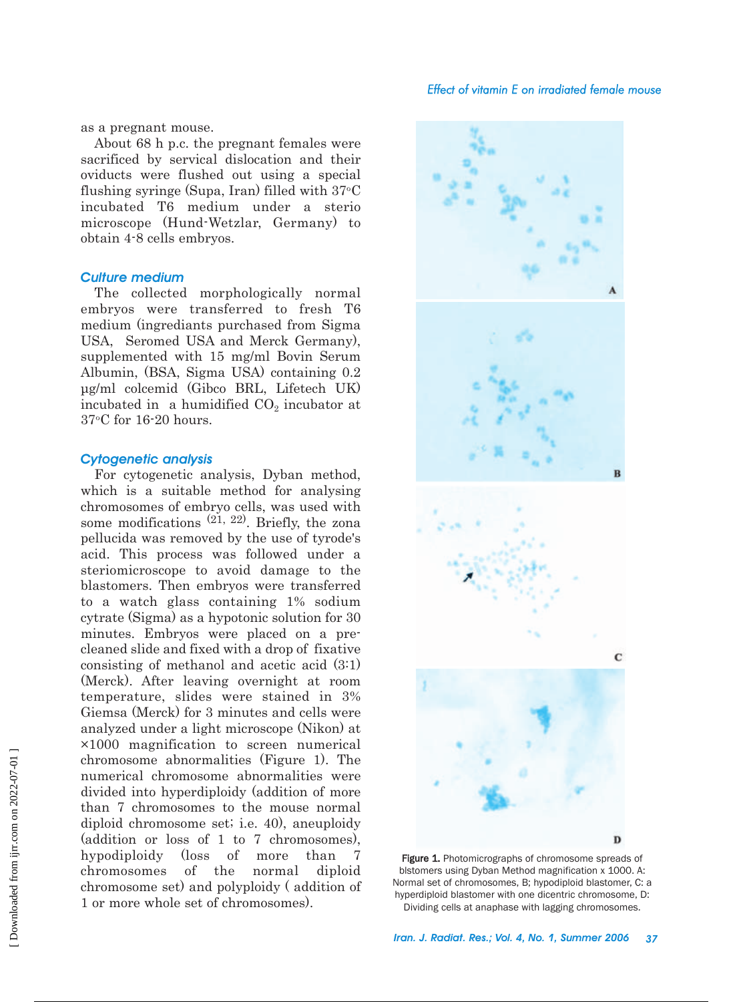#### *Effect of vitamin E on irradiated female mouse*

as a pregnant mouse.

About 68 h p.c. the pregnant females were sacrificed by servical dislocation and their oviducts were flushed out using a special flushing syringe (Supa, Iran) filled with  $37^{\circ}$ C incubated T6 medium under a sterio microscope (Hund-Wetzlar, Germany) to obtain 4-8 cells embryos.

#### *Culture medium*

The collected morphologically normal embryos were transferred to fresh T6 medium (ingrediants purchased from Sigma USA, Seromed USA and Merck Germany), supplemented with 15 mg/ml Bovin Serum Albumin, (BSA, Sigma USA) containing 0.2 µg/ml colcemid (Gibco BRL, Lifetech UK) incubated in a humidified  $CO<sub>2</sub>$  incubator at 37oC for 16-20 hours.

#### *Cytogenetic analysis*

For cytogenetic analysis, Dyban method, which is a suitable method for analysing chromosomes of embryo cells, was used with some modifications  $(21, 22)$ . Briefly, the zona pellucida was removed by the use of tyrode's acid. This process was followed under a steriomicroscope to avoid damage to the blastomers. Then embryos were transferred to a watch glass containing 1% sodium cytrate (Sigma) as a hypotonic solution for 30 minutes. Embryos were placed on a precleaned slide and fixed with a drop of fixative consisting of methanol and acetic acid (3:1) (Merck). After leaving overnight at room temperature, slides were stained in 3% Giemsa (Merck) for 3 minutes and cells were analyzed under a light microscope (Nikon) at ×1000 magnification to screen numerical chromosome abnormalities (Figure 1). The numerical chromosome abnormalities were divided into hyperdiploidy (addition of more than 7 chromosomes to the mouse normal diploid chromosome set; i.e. 40), aneuploidy (addition or loss of 1 to 7 chromosomes), hypodiploidy (loss of more than 7 chromosomes of the normal diploid chromosome set) and polyploidy ( addition of 1 or more whole set of chromosomes).



Figure 1. Photomicrographs of chromosome spreads of blstomers using Dyban Method magnification x 1000. A: Normal set of chromosomes, B; hypodiploid blastomer, C: a hyperdiploid blastomer with one dicentric chromosome, D: Dividing cells at anaphase with lagging chromosomes.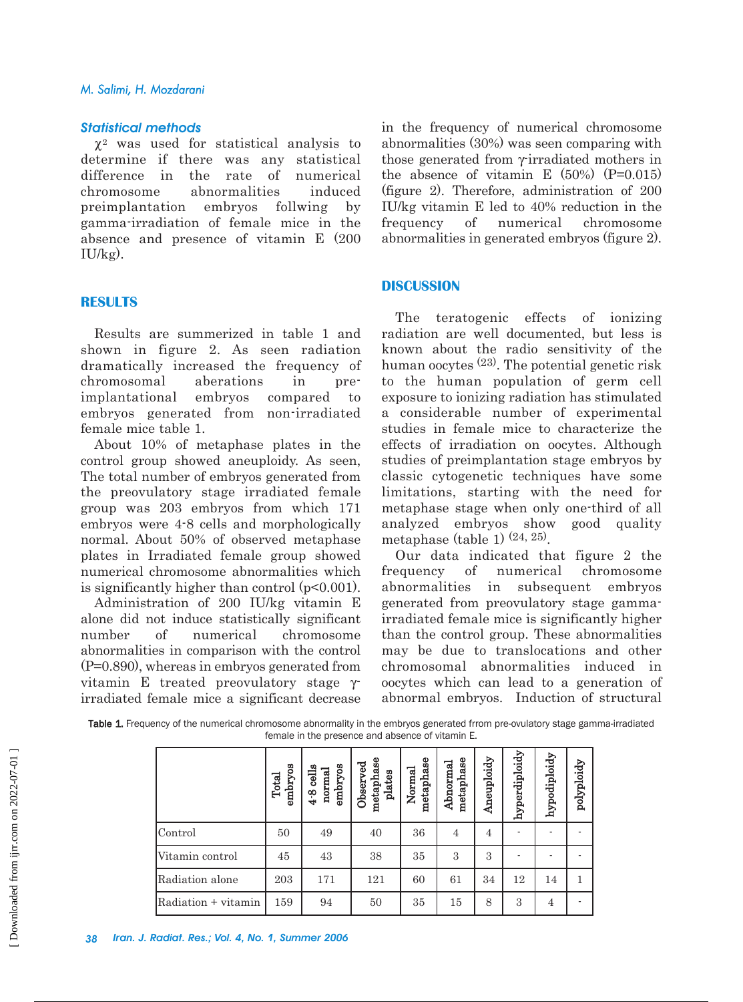#### *Statistical methods*

 $\chi^2$  was used for statistical analysis to determine if there was any statistical difference in the rate of numerical chromosome abnormalities induced preimplantation embryos follwing by gamma-irradiation of female mice in the absence and presence of vitamin E (200  $IU/kg$ ).

## **RESULTS**

Results are summerized in table 1 and shown in figure 2. As seen radiation dramatically increased the frequency of chromosomal aberations in preimplantational embryos compared to embryos generated from non-irradiated female mice table 1.

About 10% of metaphase plates in the control group showed aneuploidy. As seen, The total number of embryos generated from the preovulatory stage irradiated female group was 203 embryos from which 171 embryos were 4-8 cells and morphologically normal. About 50% of observed metaphase plates in Irradiated female group showed numerical chromosome abnormalities which is significantly higher than control (p<0.001).

Administration of 200 IU/kg vitamin E alone did not induce statistically significant number of numerical chromosome abnormalities in comparison with the control (P=0.890), whereas in embryos generated from vitamin E treated preovulatory stage γirradiated female mice a significant decrease in the frequency of numerical chromosome abnormalities (30%) was seen comparing with those generated from γ-irradiated mothers in the absence of vitamin E  $(50\%)$   $(P=0.015)$ (figure 2). Therefore, administration of 200 IU/kg vitamin E led to 40% reduction in the frequency of numerical chromosome abnormalities in generated embryos (figure 2).

## **DISCUSSION**

The teratogenic effects of ionizing radiation are well documented, but less is known about the radio sensitivity of the human oocytes  $(23)$ . The potential genetic risk to the human population of germ cell exposure to ionizing radiation has stimulated a considerable number of experimental studies in female mice to characterize the effects of irradiation on oocytes. Although studies of preimplantation stage embryos by classic cytogenetic techniques have some limitations, starting with the need for metaphase stage when only one-third of all analyzed embryos show good quality metaphase (table 1)  $(24, 25)$ .

Our data indicated that figure 2 the frequency of numerical chromosome abnormalities in subsequent embryos generated from preovulatory stage gammairradiated female mice is significantly higher than the control group. These abnormalities may be due to translocations and other chromosomal abnormalities induced in oocytes which can lead to a generation of abnormal embryos. Induction of structural

Table 1. Frequency of the numerical chromosome abnormality in the embryos generated frrom pre-ovulatory stage gamma-irradiated female in the presence and absence of vitamin E.

|                     | embryos<br>Total | embryos<br>cells<br>normal<br>$4 - 8$ | metaphase<br>Observed<br>plates | metaphase<br>Normal | metaphase<br>Abnormal | Aneuploidy | hyperdiploidy | hypodiploidy   | polyploidy |
|---------------------|------------------|---------------------------------------|---------------------------------|---------------------|-----------------------|------------|---------------|----------------|------------|
| lControl            | 50               | 49                                    | 40                              | 36                  | 4                     | 4          |               |                |            |
| Vitamin control     | 45               | 43                                    | 38                              | 35                  | 3                     | 3          |               |                |            |
| Radiation alone     | 203              | 171                                   | 121                             | 60                  | 61                    | 34         | 12            | 14             | 1          |
| Radiation + vitamin | 159              | 94                                    | 50                              | 35                  | 15                    | 8          | 3             | $\overline{4}$ |            |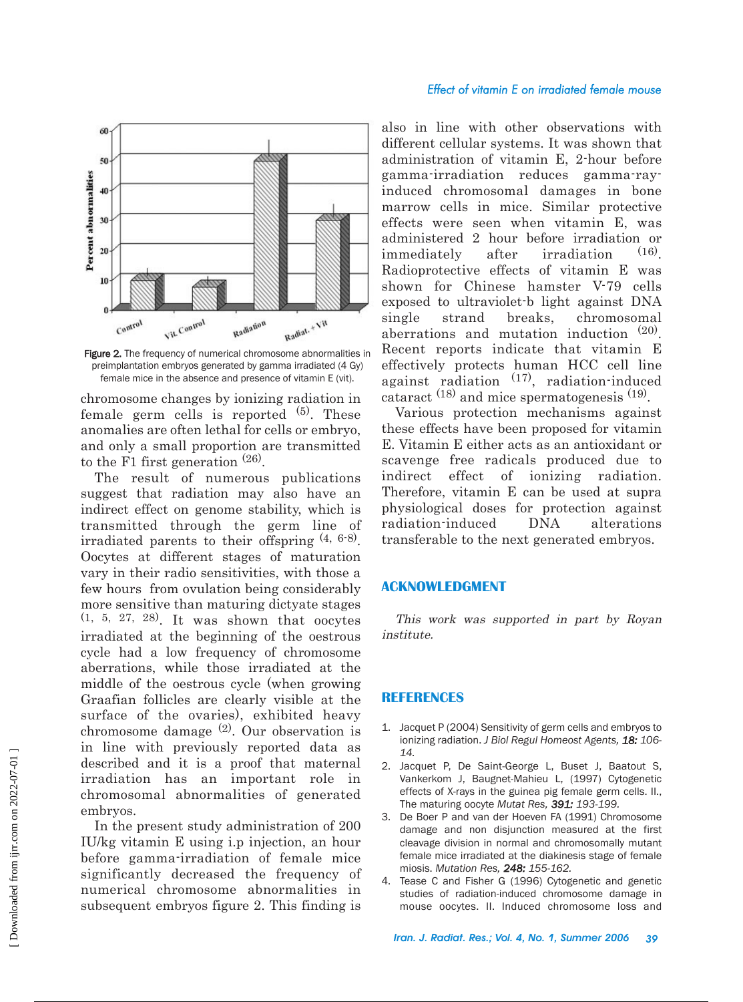

Figure 2. The frequency of numerical chromosome abnormalities in preimplantation embryos generated by gamma irradiated (4 Gy) female mice in the absence and presence of vitamin E (vit).

chromosome changes by ionizing radiation in female germ cells is reported  $(5)$ . These anomalies are often lethal for cells or embryo, and only a small proportion are transmitted to the F1 first generation (26).

The result of numerous publications suggest that radiation may also have an indirect effect on genome stability, which is transmitted through the germ line of irradiated parents to their offspring  $(4, 6.8)$ . Oocytes at different stages of maturation vary in their radio sensitivities, with those a few hours from ovulation being considerably more sensitive than maturing dictyate stages  $(1, 5, 27, 28)$ . It was shown that oocytes irradiated at the beginning of the oestrous cycle had a low frequency of chromosome aberrations, while those irradiated at the middle of the oestrous cycle (when growing Graafian follicles are clearly visible at the surface of the ovaries), exhibited heavy chromosome damage  $(2)$ . Our observation is in line with previously reported data as described and it is a proof that maternal irradiation has an important role in chromosomal abnormalities of generated embryos.

In the present study administration of 200 IU/kg vitamin E using i.p injection, an hour before gamma-irradiation of female mice significantly decreased the frequency of numerical chromosome abnormalities in subsequent embryos figure 2. This finding is

also in line with other observations with different cellular systems. It was shown that administration of vitamin E, 2-hour before gamma-irradiation reduces gamma-rayinduced chromosomal damages in bone marrow cells in mice. Similar protective effects were seen when vitamin E, was administered 2 hour before irradiation or immediately after irradiation (16). Radioprotective effects of vitamin E was shown for Chinese hamster V-79 cells exposed to ultraviolet-b light against DNA single strand breaks, chromosomal aberrations and mutation induction (20). Recent reports indicate that vitamin E effectively protects human HCC cell line against radiation (17), radiation-induced cataract  $(18)$  and mice spermatogenesis  $(19)$ .

Various protection mechanisms against these effects have been proposed for vitamin E. Vitamin E either acts as an antioxidant or scavenge free radicals produced due to indirect effect of ionizing radiation. Therefore, vitamin E can be used at supra physiological doses for protection against radiation-induced DNA alterations transferable to the next generated embryos.

## **ACKNOWLEDGMENT**

This work was supported in part by Royan institute.

#### **REFERENCES**

- 1. Jacquet P (2004) Sensitivity of germ cells and embryos to ionizing radiation. *J Biol Regul Homeost Agents, 18: 106- 14.*
- 2. Jacquet P, De Saint-George L, Buset J, Baatout S, Vankerkom J, Baugnet-Mahieu L, (1997) Cytogenetic effects of X-rays in the guinea pig female germ cells. II., The maturing oocyte *Mutat Res, 391: 193-199.*
- 3. De Boer P and van der Hoeven FA (1991) Chromosome damage and non disjunction measured at the first cleavage division in normal and chromosomally mutant female mice irradiated at the diakinesis stage of female miosis. *Mutation Res, 248: 155-162.*
- 4. Tease C and Fisher G (1996) Cytogenetic and genetic studies of radiation-induced chromosome damage in mouse oocytes. II. Induced chromosome loss and